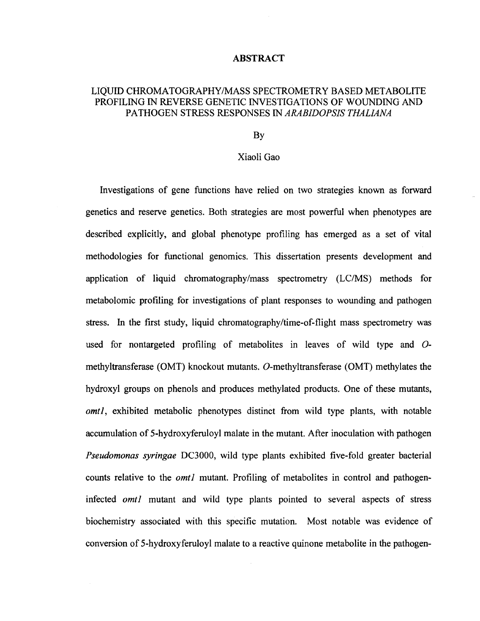## ABSTRACT

## LIQUID CHROMATOGRAPHY/MASS SPECTROMETRY BASED METABOLITE PROFILING IN REVERSE GENETIC INVESTIGATIONS OF WOUNDING AND PATHOGEN STRESS RESPONSES IN *ARABIDOPSIS THALIANA*

## By

## Xiaoli Gao

Investigations of gene functions have relied on two strategies known as forward genetics and reserve genetics. Both strategies are most powerful when phenotypes are described explicitly, and global phenotype profiling has emerged as a set of vital methodologies for functional genomics. This dissertation presents development and application of liquid chromatography/mass spectrometry (LC/MS) methods for metabolomic profiling for investigations of plant responses to wounding and pathogen stress. In the first study, liquid chromatography/time-of-flight mass spectrometry was used for nontargeted profiling of metabolites in leaves of wild type and *O*methyltransferase (OMT) knockout mutants. O-methyltransferase (OMT) methylates the hydroxyl groups on phenols and produces methylated products. One of these mutants, *omtl,* exhibited metabolic phenotypes distinct from wild type plants, with notable accumulation of 5-hydroxyferuloyl malate in the mutant. After inoculation with pathogen *Pseudomonas syringae* DC3000, wild type plants exhibited five-fold greater bacterial counts relative to the *omtl* mutant. Profiling of metabolites in control and pathogeninfected *omtl* mutant and wild type plants pointed to several aspects of stress biochemistry associated with this specific mutation. Most notable was evidence of conversion of 5-hydroxyferuloyl malate to a reactive quinone metabolite in the pathogen